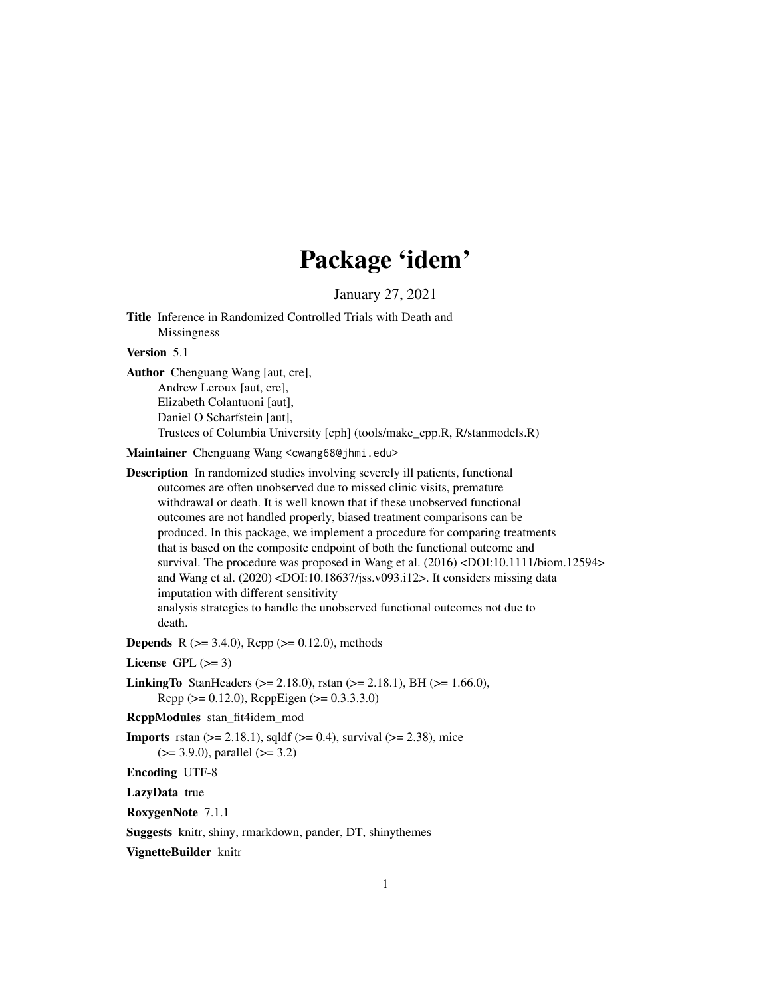# Package 'idem'

January 27, 2021

Title Inference in Randomized Controlled Trials with Death and Missingness

Version 5.1

Author Chenguang Wang [aut, cre], Andrew Leroux [aut, cre], Elizabeth Colantuoni [aut], Daniel O Scharfstein [aut], Trustees of Columbia University [cph] (tools/make\_cpp.R, R/stanmodels.R)

Maintainer Chenguang Wang <cwang68@jhmi.edu>

Description In randomized studies involving severely ill patients, functional outcomes are often unobserved due to missed clinic visits, premature withdrawal or death. It is well known that if these unobserved functional outcomes are not handled properly, biased treatment comparisons can be produced. In this package, we implement a procedure for comparing treatments that is based on the composite endpoint of both the functional outcome and survival. The procedure was proposed in Wang et al. (2016) <DOI:10.1111/biom.12594> and Wang et al. (2020) <DOI:10.18637/jss.v093.i12>. It considers missing data imputation with different sensitivity analysis strategies to handle the unobserved functional outcomes not due to death.

**Depends** R  $(>= 3.4.0)$ , Rcpp  $(>= 0.12.0)$ , methods

License GPL  $(>= 3)$ 

**LinkingTo** StanHeaders ( $>= 2.18.0$ ), rstan ( $>= 2.18.1$ ), BH ( $>= 1.66.0$ ),  $Rcpp (> = 0.12.0)$ ,  $RcppEigen (> = 0.3.3.3.0)$ 

RcppModules stan\_fit4idem\_mod

**Imports** rstan  $(>= 2.18.1)$ , sqldf  $(>= 0.4)$ , survival  $(>= 2.38)$ , mice (>= 3.9.0), parallel (>= 3.2)

Encoding UTF-8

LazyData true

RoxygenNote 7.1.1

Suggests knitr, shiny, rmarkdown, pander, DT, shinythemes

VignetteBuilder knitr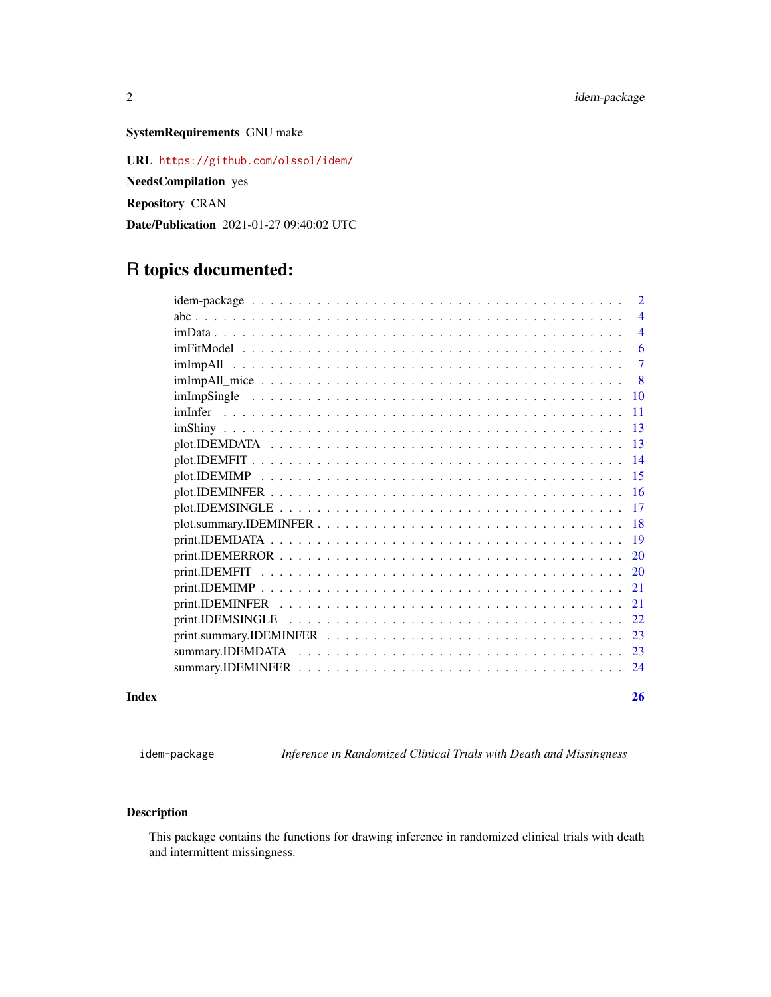# <span id="page-1-0"></span>SystemRequirements GNU make

URL <https://github.com/olssol/idem/> NeedsCompilation yes Repository CRAN Date/Publication 2021-01-27 09:40:02 UTC

# R topics documented:

|       |                                                                                                                                     | 2              |
|-------|-------------------------------------------------------------------------------------------------------------------------------------|----------------|
|       |                                                                                                                                     | $\overline{4}$ |
|       |                                                                                                                                     | $\overline{4}$ |
|       |                                                                                                                                     | 6              |
|       | imImpAll                                                                                                                            | $\tau$         |
|       |                                                                                                                                     | 8              |
|       |                                                                                                                                     | -10            |
|       |                                                                                                                                     | <b>11</b>      |
|       |                                                                                                                                     | -13            |
|       |                                                                                                                                     | 13             |
|       |                                                                                                                                     | 14             |
|       |                                                                                                                                     | -15            |
|       |                                                                                                                                     | -16            |
|       |                                                                                                                                     | -17            |
|       |                                                                                                                                     |                |
|       |                                                                                                                                     | -19            |
|       |                                                                                                                                     | 20             |
|       |                                                                                                                                     | 20             |
|       |                                                                                                                                     | 21             |
|       |                                                                                                                                     | 21             |
|       |                                                                                                                                     | 22             |
|       | $print. \text{summary.} \text{IDEMINFER} \dots \dots \dots \dots \dots \dots \dots \dots \dots \dots \dots \dots \dots \dots \dots$ | 23             |
|       |                                                                                                                                     | -23            |
|       |                                                                                                                                     | -24            |
| Index |                                                                                                                                     | 26             |

<span id="page-1-1"></span>idem-package *Inference in Randomized Clinical Trials with Death and Missingness*

# Description

This package contains the functions for drawing inference in randomized clinical trials with death and intermittent missingness.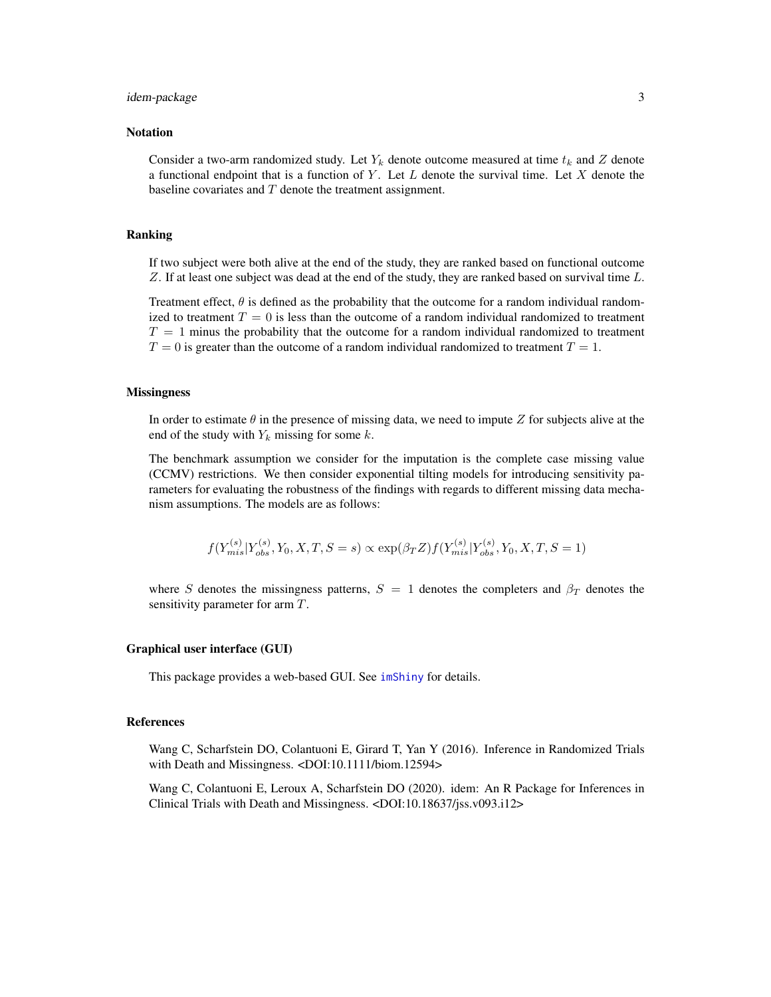#### <span id="page-2-0"></span>idem-package 3

#### **Notation**

Consider a two-arm randomized study. Let  $Y_k$  denote outcome measured at time  $t_k$  and Z denote a functional endpoint that is a function of Y. Let L denote the survival time. Let X denote the baseline covariates and  $T$  denote the treatment assignment.

#### Ranking

If two subject were both alive at the end of the study, they are ranked based on functional outcome Z. If at least one subject was dead at the end of the study, they are ranked based on survival time L.

Treatment effect,  $\theta$  is defined as the probability that the outcome for a random individual randomized to treatment  $T = 0$  is less than the outcome of a random individual randomized to treatment  $T = 1$  minus the probability that the outcome for a random individual randomized to treatment  $T = 0$  is greater than the outcome of a random individual randomized to treatment  $T = 1$ .

#### **Missingness**

In order to estimate  $\theta$  in the presence of missing data, we need to impute Z for subjects alive at the end of the study with  $Y_k$  missing for some  $k$ .

The benchmark assumption we consider for the imputation is the complete case missing value (CCMV) restrictions. We then consider exponential tilting models for introducing sensitivity parameters for evaluating the robustness of the findings with regards to different missing data mechanism assumptions. The models are as follows:

$$
f(Y^{(s)}_{mis}|Y^{(s)}_{obs}, Y_0, X, T, S = s) \propto \exp(\beta_T Z) f(Y^{(s)}_{mis}|Y^{(s)}_{obs}, Y_0, X, T, S = 1)
$$

where S denotes the missingness patterns,  $S = 1$  denotes the completers and  $\beta_T$  denotes the sensitivity parameter for arm T.

#### Graphical user interface (GUI)

This package provides a web-based GUI. See [imShiny](#page-12-1) for details.

#### References

Wang C, Scharfstein DO, Colantuoni E, Girard T, Yan Y (2016). Inference in Randomized Trials with Death and Missingness. <DOI:10.1111/biom.12594>

Wang C, Colantuoni E, Leroux A, Scharfstein DO (2020). idem: An R Package for Inferences in Clinical Trials with Death and Missingness. <DOI:10.18637/jss.v093.i12>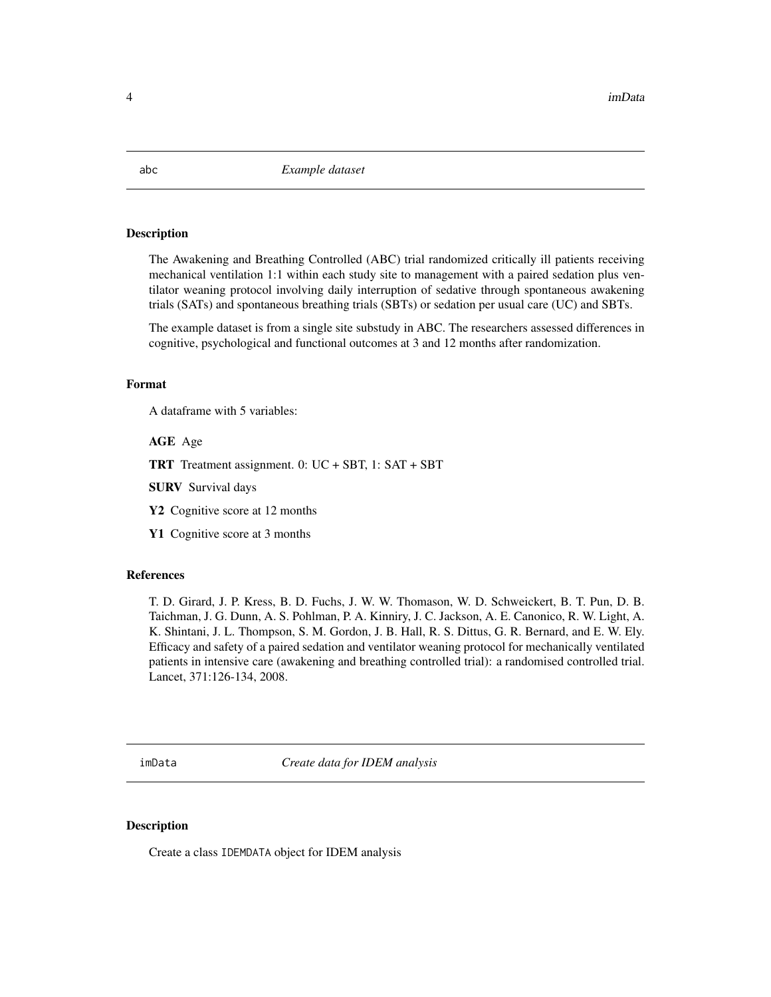#### Description

The Awakening and Breathing Controlled (ABC) trial randomized critically ill patients receiving mechanical ventilation 1:1 within each study site to management with a paired sedation plus ventilator weaning protocol involving daily interruption of sedative through spontaneous awakening trials (SATs) and spontaneous breathing trials (SBTs) or sedation per usual care (UC) and SBTs.

The example dataset is from a single site substudy in ABC. The researchers assessed differences in cognitive, psychological and functional outcomes at 3 and 12 months after randomization.

# Format

A dataframe with 5 variables:

AGE Age

TRT Treatment assignment. 0: UC + SBT, 1: SAT + SBT

SURV Survival days

Y<sub>2</sub> Cognitive score at 1<sub>2</sub> months

Y1 Cognitive score at 3 months

#### References

T. D. Girard, J. P. Kress, B. D. Fuchs, J. W. W. Thomason, W. D. Schweickert, B. T. Pun, D. B. Taichman, J. G. Dunn, A. S. Pohlman, P. A. Kinniry, J. C. Jackson, A. E. Canonico, R. W. Light, A. K. Shintani, J. L. Thompson, S. M. Gordon, J. B. Hall, R. S. Dittus, G. R. Bernard, and E. W. Ely. Efficacy and safety of a paired sedation and ventilator weaning protocol for mechanically ventilated patients in intensive care (awakening and breathing controlled trial): a randomised controlled trial. Lancet, 371:126-134, 2008.

<span id="page-3-1"></span>imData *Create data for IDEM analysis*

#### Description

Create a class IDEMDATA object for IDEM analysis

<span id="page-3-0"></span>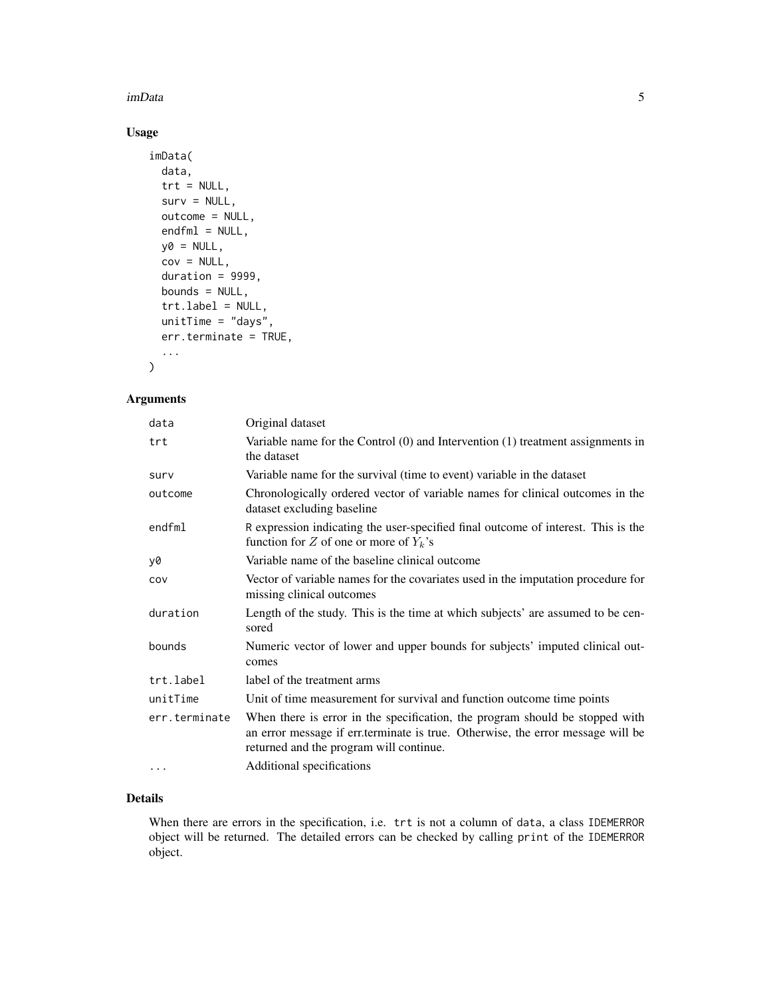#### imData 5

# Usage

```
imData(
 data,
  trt = NULL,surv = NULL,outcome = NULL,
  endfn1 = NULL,y0 = NULL,cov = NULL,duration = 9999,
 bounds = NULL,
  trt.label = NULL,
 unitTime = "days",
  err.terminate = TRUE,
  ...
\mathcal{L}
```
# Arguments

| data          | Original dataset                                                                                                                                                                                           |
|---------------|------------------------------------------------------------------------------------------------------------------------------------------------------------------------------------------------------------|
| trt           | Variable name for the Control $(0)$ and Intervention $(1)$ treatment assignments in<br>the dataset                                                                                                         |
| surv          | Variable name for the survival (time to event) variable in the dataset                                                                                                                                     |
| outcome       | Chronologically ordered vector of variable names for clinical outcomes in the<br>dataset excluding baseline                                                                                                |
| endfml        | R expression indicating the user-specified final outcome of interest. This is the<br>function for Z of one or more of $Y_k$ 's                                                                             |
| v0            | Variable name of the baseline clinical outcome                                                                                                                                                             |
| COV           | Vector of variable names for the covariates used in the imputation procedure for<br>missing clinical outcomes                                                                                              |
| duration      | Length of the study. This is the time at which subjects' are assumed to be cen-<br>sored                                                                                                                   |
| bounds        | Numeric vector of lower and upper bounds for subjects' imputed clinical out-<br>comes                                                                                                                      |
| trt.label     | label of the treatment arms                                                                                                                                                                                |
| unitTime      | Unit of time measurement for survival and function outcome time points                                                                                                                                     |
| err.terminate | When there is error in the specification, the program should be stopped with<br>an error message if err.terminate is true. Otherwise, the error message will be<br>returned and the program will continue. |
| $\cdots$      | Additional specifications                                                                                                                                                                                  |

#### Details

When there are errors in the specification, i.e. trt is not a column of data, a class IDEMERROR object will be returned. The detailed errors can be checked by calling print of the IDEMERROR object.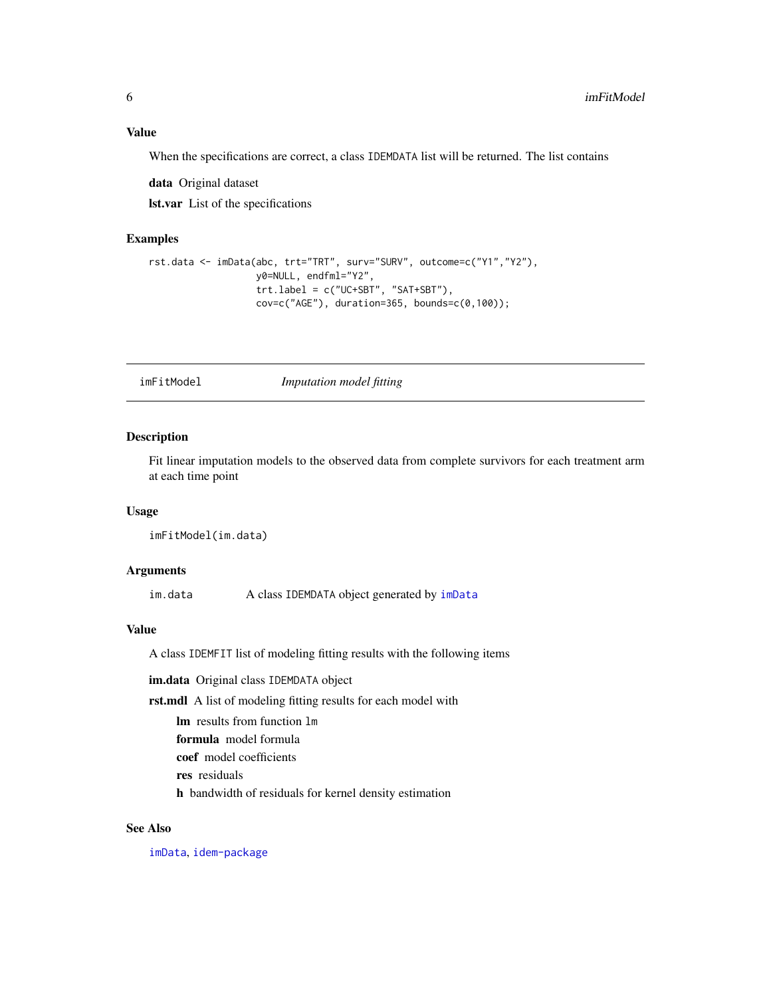# <span id="page-5-0"></span>Value

When the specifications are correct, a class IDEMDATA list will be returned. The list contains

data Original dataset

lst.var List of the specifications

#### Examples

```
rst.data <- imData(abc, trt="TRT", surv="SURV", outcome=c("Y1","Y2"),
                  y0=NULL, endfml="Y2",
                  trt.label = c("UC+SBT", "SAT+SBT"),
                  cov=c("AGE"), duration=365, bounds=c(0,100));
```
<span id="page-5-1"></span>imFitModel *Imputation model fitting*

#### Description

Fit linear imputation models to the observed data from complete survivors for each treatment arm at each time point

#### Usage

imFitModel(im.data)

## **Arguments**

im.data A class IDEMDATA object generated by [imData](#page-3-1)

#### Value

A class IDEMFIT list of modeling fitting results with the following items

im.data Original class IDEMDATA object

rst.mdl A list of modeling fitting results for each model with

lm results from function lm

formula model formula

coef model coefficients

res residuals

h bandwidth of residuals for kernel density estimation

# See Also

[imData](#page-3-1), [idem-package](#page-1-1)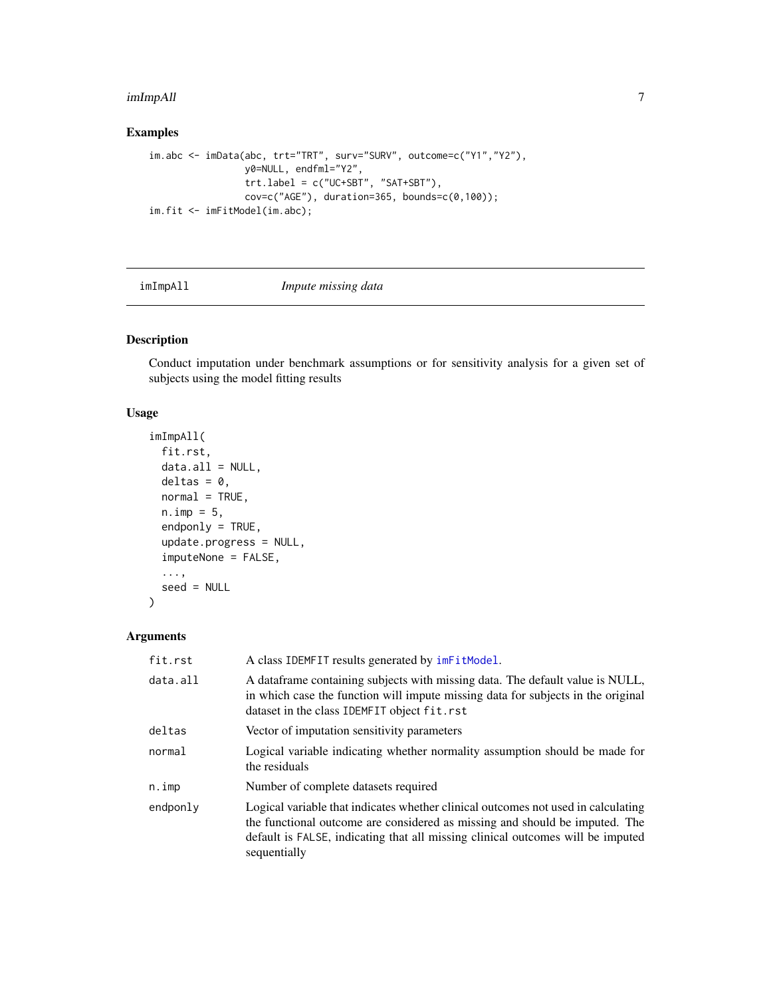#### <span id="page-6-0"></span>imImpAll 7

# Examples

```
im.abc <- imData(abc, trt="TRT", surv="SURV", outcome=c("Y1","Y2"),
                y0=NULL, endfml="Y2",
                 trt.label = c("UC+SBT", "SAT+SBT"),
                 cov=c("AGE"), duration=365, bounds=c(0,100));
im.fit <- imFitModel(im.abc);
```
<span id="page-6-1"></span>

|  | imImpAll |  |
|--|----------|--|
|  |          |  |

#### Impute missing data

# Description

Conduct imputation under benchmark assumptions or for sensitivity analysis for a given set of subjects using the model fitting results

# Usage

```
imImpAll(
  fit.rst,
 data.al1 = NULL,delta = 0,
 normal = TRUE,n. imp = 5,
  endponly = TRUE,update.progress = NULL,
  imputeNone = FALSE,
  ...,
  seed = NULL
\mathcal{L}
```

| fit.rst  | A class IDEMFIT results generated by $imF$ it Model.                                                                                                                                                                                                                |
|----------|---------------------------------------------------------------------------------------------------------------------------------------------------------------------------------------------------------------------------------------------------------------------|
| data.all | A data frame containing subjects with missing data. The default value is NULL,<br>in which case the function will impute missing data for subjects in the original<br>dataset in the class IDEMFIT object fit.rst                                                   |
| deltas   | Vector of imputation sensitivity parameters                                                                                                                                                                                                                         |
| normal   | Logical variable indicating whether normality assumption should be made for<br>the residuals                                                                                                                                                                        |
| n.imp    | Number of complete datasets required                                                                                                                                                                                                                                |
| endponly | Logical variable that indicates whether clinical outcomes not used in calculating<br>the functional outcome are considered as missing and should be imputed. The<br>default is FALSE, indicating that all missing clinical outcomes will be imputed<br>sequentially |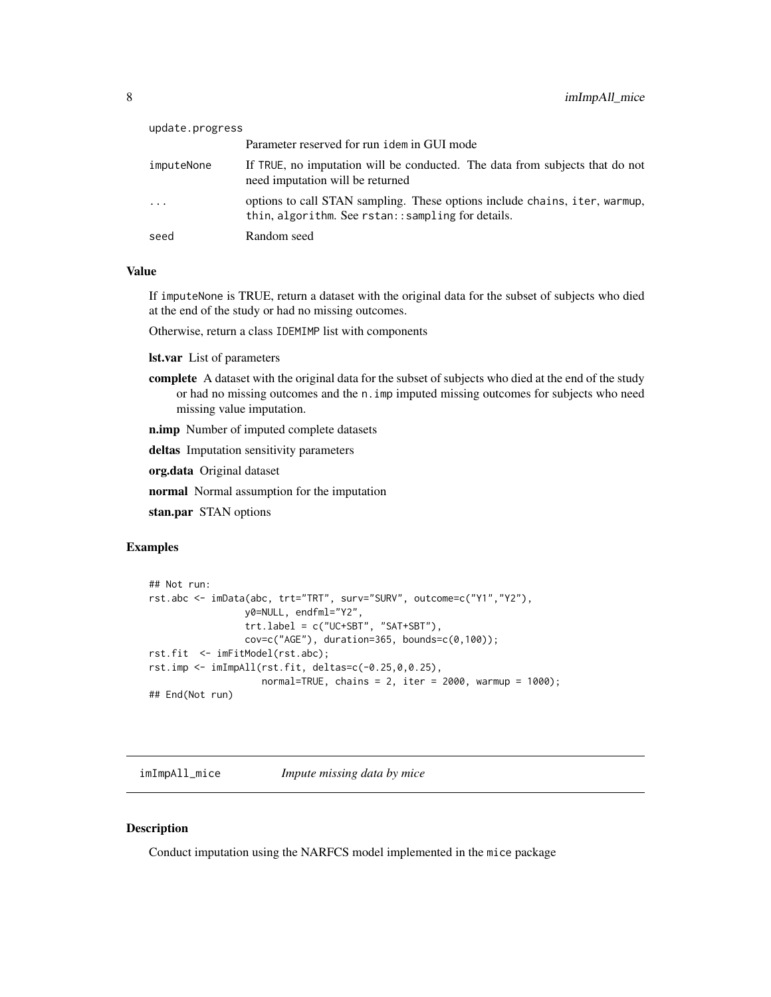<span id="page-7-0"></span>

| update.progress |                                                                                                                                  |
|-----------------|----------------------------------------------------------------------------------------------------------------------------------|
|                 | Parameter reserved for run idem in GUI mode                                                                                      |
| imputeNone      | If TRUE, no imputation will be conducted. The data from subjects that do not<br>need imputation will be returned                 |
| $\ddots$        | options to call STAN sampling. These options include chains, iter, warmup,<br>thin, algorithm. See rstan:: sampling for details. |
| seed            | Random seed                                                                                                                      |

### Value

If imputeNone is TRUE, return a dataset with the original data for the subset of subjects who died at the end of the study or had no missing outcomes.

Otherwise, return a class IDEMIMP list with components

lst.var List of parameters

complete A dataset with the original data for the subset of subjects who died at the end of the study or had no missing outcomes and the n.imp imputed missing outcomes for subjects who need missing value imputation.

n.imp Number of imputed complete datasets

deltas Imputation sensitivity parameters

org.data Original dataset

normal Normal assumption for the imputation

stan.par STAN options

#### Examples

```
## Not run:
rst.abc <- imData(abc, trt="TRT", surv="SURV", outcome=c("Y1","Y2"),
                 y0=NULL, endfml="Y2",
                 trt.label = c("UC+SBT", "SAT+SBT"),
                 cov=c("AGE"), duration=365, bounds=c(0,100);
rst.fit <- imFitModel(rst.abc);
rst.imp \leq imImpAll(rst.fit, deltas=c(-0.25,0,0.25),
                    normal=TRUE, chains = 2, iter = 2000, warmup = 1000);
## End(Not run)
```
imImpAll\_mice *Impute missing data by mice*

#### Description

Conduct imputation using the NARFCS model implemented in the mice package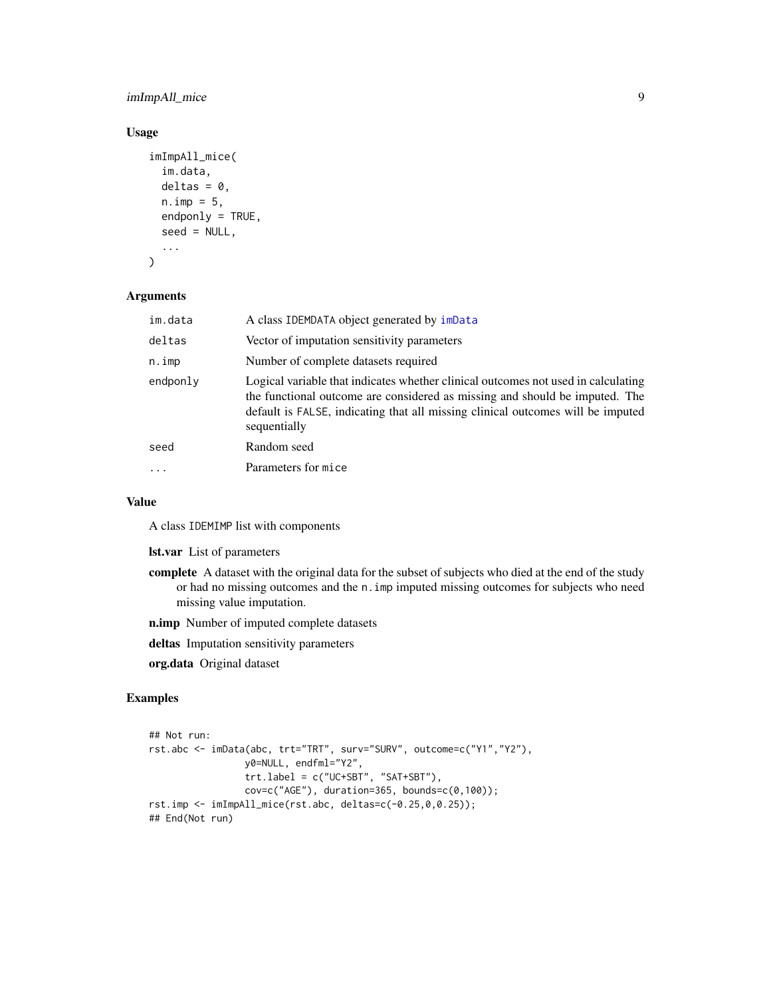# <span id="page-8-0"></span>imImpAll\_mice 9

# Usage

```
imImpAll_mice(
  im.data,
 delta = 0,
 n. imp = 5,
 endponly = TRUE,seed = NULL,
  ...
)
```
#### Arguments

| im.data  | A class IDEMDATA object generated by imData                                                                                                                                                                                                                         |
|----------|---------------------------------------------------------------------------------------------------------------------------------------------------------------------------------------------------------------------------------------------------------------------|
| deltas   | Vector of imputation sensitivity parameters                                                                                                                                                                                                                         |
| n.imp    | Number of complete datasets required                                                                                                                                                                                                                                |
| endponly | Logical variable that indicates whether clinical outcomes not used in calculating<br>the functional outcome are considered as missing and should be imputed. The<br>default is FALSE, indicating that all missing clinical outcomes will be imputed<br>sequentially |
| seed     | Random seed                                                                                                                                                                                                                                                         |
|          | Parameters for mice                                                                                                                                                                                                                                                 |
|          |                                                                                                                                                                                                                                                                     |

#### Value

A class IDEMIMP list with components

lst.var List of parameters

- complete A dataset with the original data for the subset of subjects who died at the end of the study or had no missing outcomes and the n.imp imputed missing outcomes for subjects who need missing value imputation.
- n.imp Number of imputed complete datasets
- deltas Imputation sensitivity parameters

org.data Original dataset

# Examples

```
## Not run:
rst.abc <- imData(abc, trt="TRT", surv="SURV", outcome=c("Y1","Y2"),
                 y0=NULL, endfml="Y2",
                 trt.label = c("UC+SBT", "SAT+SBT"),
                 cov=c("AGE"), duration=365, bounds=c(0,100);
rst.imp <- imImpAll_mice(rst.abc, deltas=c(-0.25,0,0.25));
## End(Not run)
```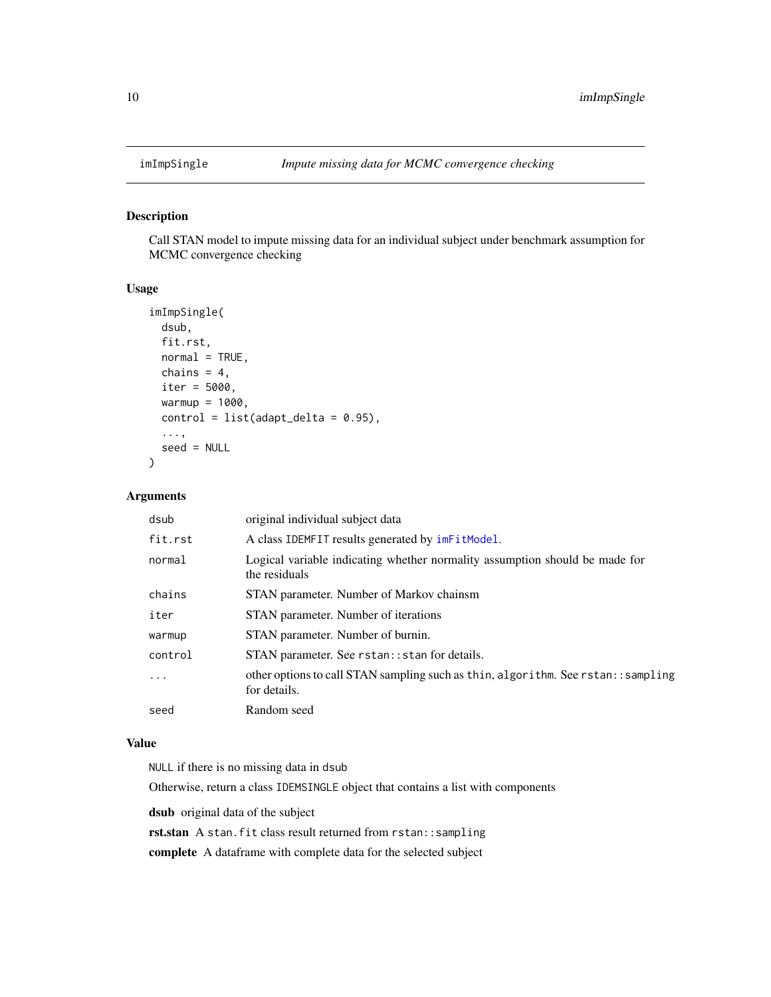<span id="page-9-1"></span><span id="page-9-0"></span>

# Description

Call STAN model to impute missing data for an individual subject under benchmark assumption for MCMC convergence checking

#### Usage

```
imImpSingle(
 dsub,
  fit.rst,
 normal = TRUE,chains = 4,
  iter = 5000,
 warmup = 1000,
 control = list(adapt\_delta = 0.95),
  ...,
  seed = NULL
)
```
#### Arguments

| dsub    | original individual subject data                                                                   |
|---------|----------------------------------------------------------------------------------------------------|
| fit.rst | A class IDEMFIT results generated by $imF$ it Model.                                               |
| normal  | Logical variable indicating whether normality assumption should be made for<br>the residuals       |
| chains  | STAN parameter. Number of Markov chainsm                                                           |
| iter    | STAN parameter. Number of iterations                                                               |
| warmup  | STAN parameter. Number of burnin.                                                                  |
| control | STAN parameter. See rstan:: stan for details.                                                      |
| .       | other options to call STAN sampling such as thin, algorithm. See rstan: : sampling<br>for details. |
| seed    | Random seed                                                                                        |

#### Value

NULL if there is no missing data in dsub

Otherwise, return a class IDEMSINGLE object that contains a list with components

dsub original data of the subject

rst.stan A stan.fit class result returned from rstan::sampling

complete A dataframe with complete data for the selected subject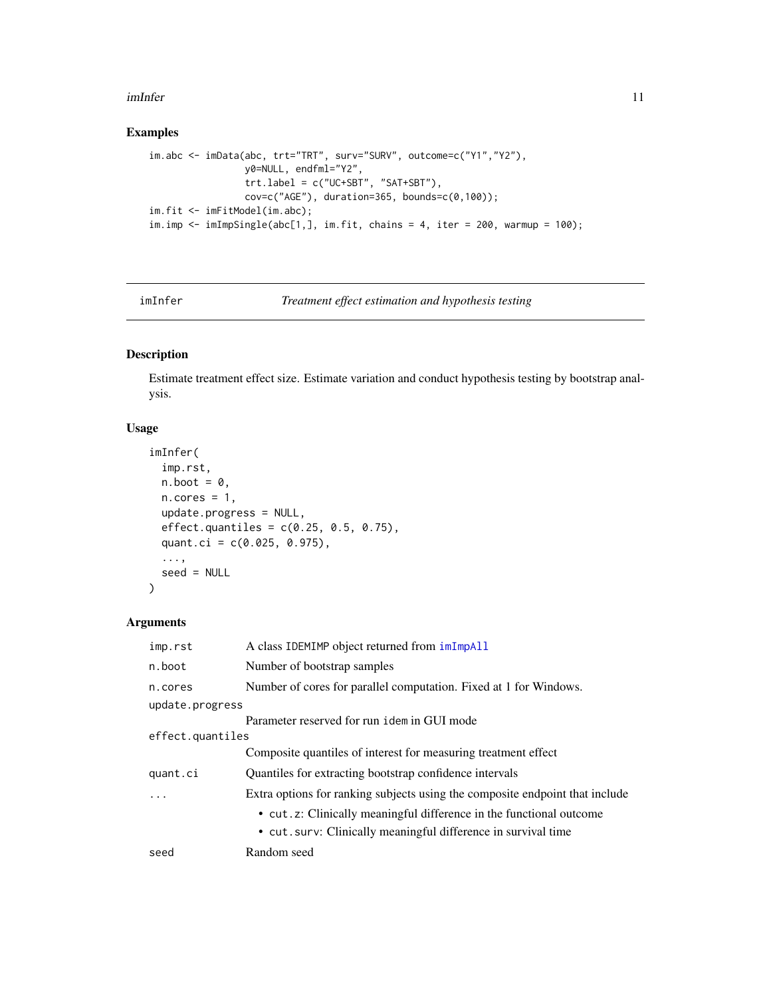#### <span id="page-10-0"></span>imInfer that the contract of the contract of the contract of the contract of the contract of the contract of the contract of the contract of the contract of the contract of the contract of the contract of the contract of t

# Examples

```
im.abc <- imData(abc, trt="TRT", surv="SURV", outcome=c("Y1","Y2"),
                 y0=NULL, endfml="Y2",
                 trt. label = c("UC+SBT", "SAT+SBT"),
                 cov=c("AGE"), duration=365, bounds=c(\emptyset,100));
im.fit <- imFitModel(im.abc);
im. imp <- imImpSingle(abc[1,], im.fit, chains = 4, iter = 200, warmup = 100);
```

```
imInfer Treatment effect estimation and hypothesis testing
```
# Description

Estimate treatment effect size. Estimate variation and conduct hypothesis testing by bootstrap analysis.

# Usage

```
imInfer(
  imp.rst,
 n.boot = 0,n.cores = 1,
  update.progress = NULL,
  effect. quantiles = c(0.25, 0.5, 0.75),
  quant.ci = c(0.025, 0.975),
  ...,
  seed = NULL
)
```

| imp.rst          | A class IDEMIMP object returned from imImpAll                                |
|------------------|------------------------------------------------------------------------------|
| n.boot           | Number of bootstrap samples                                                  |
| n.cores          | Number of cores for parallel computation. Fixed at 1 for Windows.            |
| update.progress  |                                                                              |
|                  | Parameter reserved for run idem in GUI mode                                  |
| effect.quantiles |                                                                              |
|                  | Composite quantiles of interest for measuring treatment effect               |
| quant.ci         | Quantiles for extracting bootstrap confidence intervals                      |
| $\cdot$          | Extra options for ranking subjects using the composite endpoint that include |
|                  | • cut. z: Clinically meaningful difference in the functional outcome         |
|                  | • cut. surv: Clinically meaningful difference in survival time               |
| seed             | Random seed                                                                  |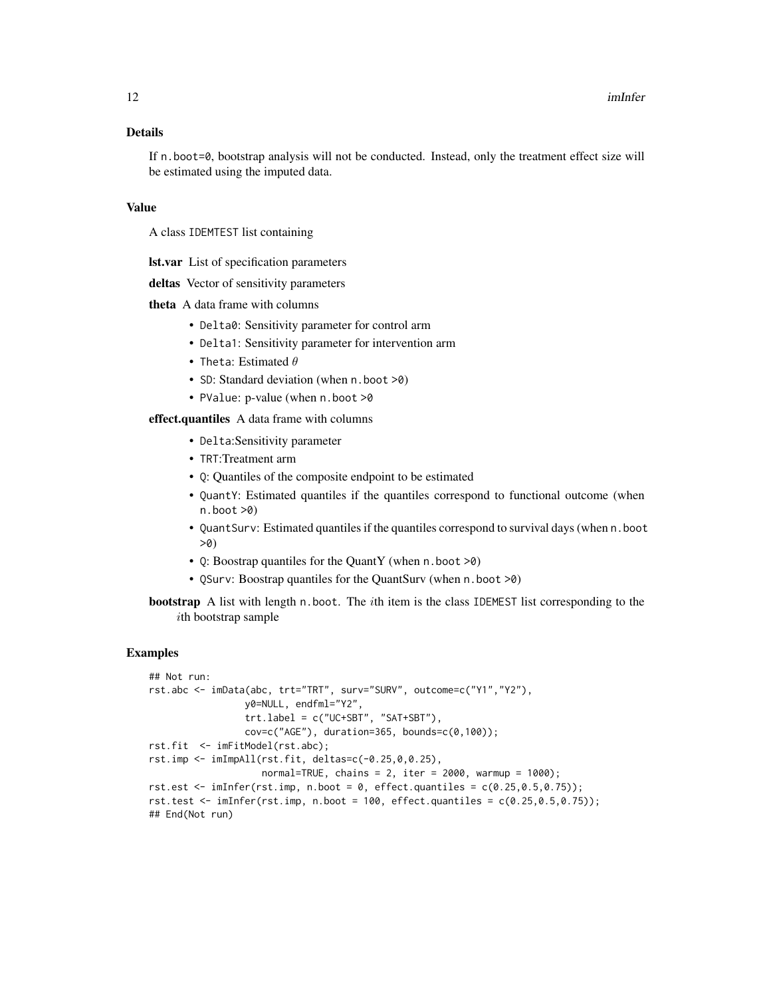# Details

If n.boot=0, bootstrap analysis will not be conducted. Instead, only the treatment effect size will be estimated using the imputed data.

#### Value

A class IDEMTEST list containing

lst.var List of specification parameters

deltas Vector of sensitivity parameters

theta A data frame with columns

- Delta0: Sensitivity parameter for control arm
- Delta1: Sensitivity parameter for intervention arm
- Theta: Estimated  $\theta$
- SD: Standard deviation (when n. boot >0)
- PValue: p-value (when n.boot >0

effect.quantiles A data frame with columns

- Delta:Sensitivity parameter
- TRT:Treatment arm
- Q: Quantiles of the composite endpoint to be estimated
- QuantY: Estimated quantiles if the quantiles correspond to functional outcome (when n.boot >0)
- QuantSurv: Estimated quantiles if the quantiles correspond to survival days (when n.boot >0)
- Q: Boostrap quantiles for the QuantY (when n.boot >0)
- QSurv: Boostrap quantiles for the QuantSurv (when n.boot >0)
- bootstrap A list with length n.boot. The ith item is the class IDEMEST list corresponding to the ith bootstrap sample

#### Examples

```
## Not run:
rst.abc <- imData(abc, trt="TRT", surv="SURV", outcome=c("Y1","Y2"),
                 y0=NULL, endfml="Y2",
                 trt.label = c("UC+SBT", "SAT+SBT"),
                 cov=c("AGE"), duration=365, bounds=c(0,100));
rst.fit <- imFitModel(rst.abc);
rst.imp <- imImpAll(rst.fit, deltas=c(-0.25,0,0.25),
                    normal=TRUE, chains = 2, iter = 2000, warmup = 1000;
rst.est \leq imInfer(rst.imp, n.boot = 0, effect.quantiles = c(0.25, 0.5, 0.75));
rst.test \le imInfer(rst.imp, n.boot = 100, effect.quantiles = c(0.25, 0.5, 0.75));
## End(Not run)
```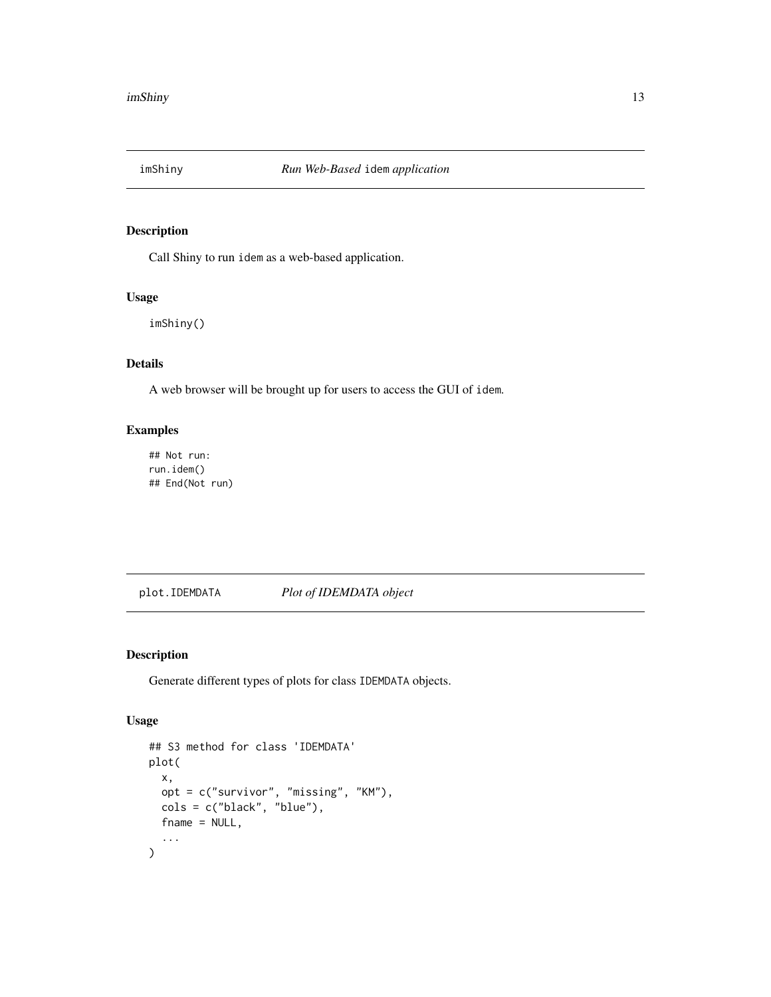<span id="page-12-1"></span><span id="page-12-0"></span>

# Description

Call Shiny to run idem as a web-based application.

#### Usage

imShiny()

# Details

A web browser will be brought up for users to access the GUI of idem.

## Examples

## Not run: run.idem() ## End(Not run)

plot.IDEMDATA *Plot of IDEMDATA object*

# Description

Generate different types of plots for class IDEMDATA objects.

#### Usage

```
## S3 method for class 'IDEMDATA'
plot(
  x,
 opt = c("survivor", "missing", "KM"),
 cols = c("black", "blue"),
 fname = NULL,
  ...
)
```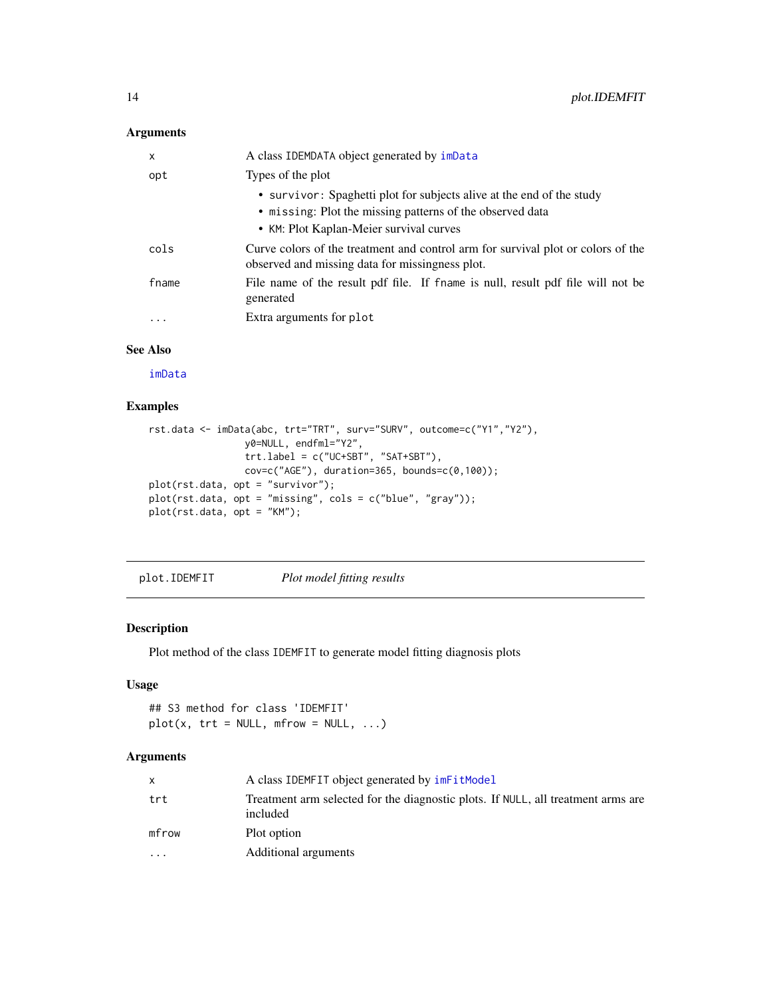# <span id="page-13-0"></span>Arguments

| X     | A class IDEMDATA object generated by imData                                                                                                                                   |
|-------|-------------------------------------------------------------------------------------------------------------------------------------------------------------------------------|
| opt   | Types of the plot                                                                                                                                                             |
|       | • survivor: Spaghetti plot for subjects alive at the end of the study<br>• missing: Plot the missing patterns of the observed data<br>• KM: Plot Kaplan-Meier survival curves |
| cols  | Curve colors of the treatment and control arm for survival plot or colors of the<br>observed and missing data for missingness plot.                                           |
| fname | File name of the result pdf file. If fname is null, result pdf file will not be<br>generated                                                                                  |
| .     | Extra arguments for plot                                                                                                                                                      |

# See Also

[imData](#page-3-1)

# Examples

```
rst.data <- imData(abc, trt="TRT", surv="SURV", outcome=c("Y1","Y2"),
                 y0=NULL, endfml="Y2",
                 trt.label = c("UC+SBT", "SAT+SBT"),
                 cov=c("AGE"), duration=365, bounds=c(0,100));
plot(rst.data, opt = "survivor");
plot(rst.data, opt = "missing", cols = c("blue", "gray"));
plot(rst.data, opt = "KM");
```
plot.IDEMFIT *Plot model fitting results*

#### Description

Plot method of the class IDEMFIT to generate model fitting diagnosis plots

# Usage

## S3 method for class 'IDEMFIT'  $plot(x, trt = NULL, mfrom = NULL, ...)$ 

| X         | A class IDEMFIT object generated by imFitModel                                               |
|-----------|----------------------------------------------------------------------------------------------|
| trt       | Treatment arm selected for the diagnostic plots. If NULL, all treatment arms are<br>included |
| mfrow     | Plot option                                                                                  |
| $\ddotsc$ | Additional arguments                                                                         |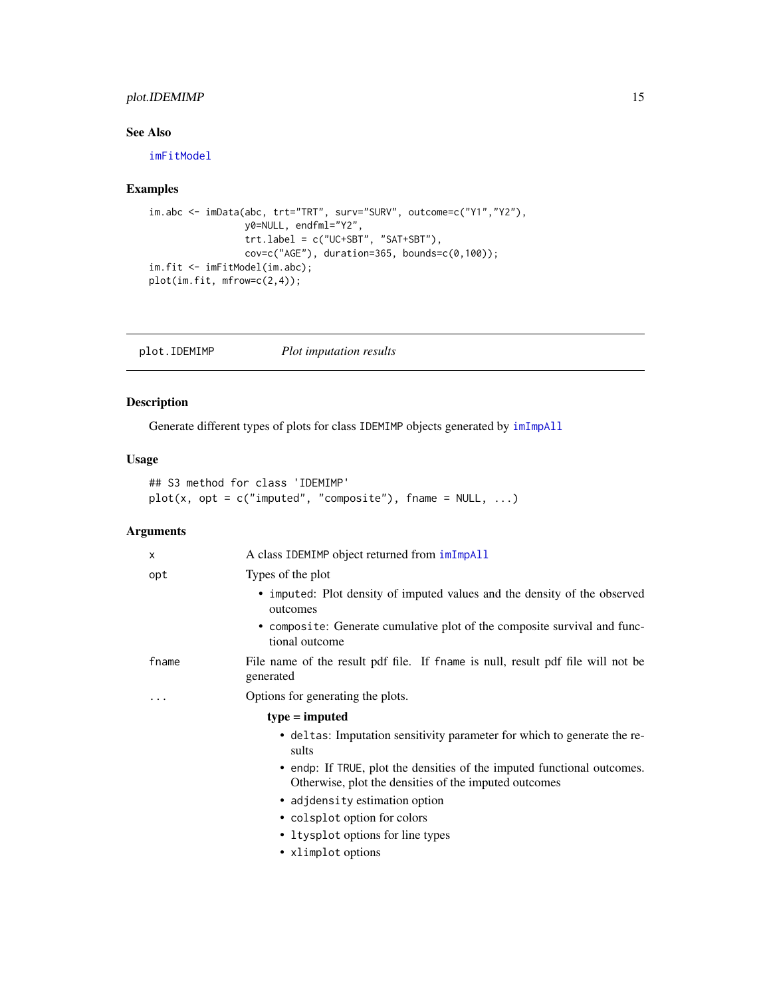# <span id="page-14-0"></span>plot.IDEMIMP 15

# See Also

[imFitModel](#page-5-1)

# Examples

```
im.abc <- imData(abc, trt="TRT", surv="SURV", outcome=c("Y1","Y2"),
                y0=NULL, endfml="Y2",
                trt.label = c("UC+SBT", "SAT+SBT"),
                 cov=c("AGE"), duration=365, bounds=c(0,100));
im.fit <- imFitModel(im.abc);
plot(im.fit, mfrow=c(2,4));
```
plot.IDEMIMP *Plot imputation results*

# Description

Generate different types of plots for class IDEMIMP objects generated by [imImpAll](#page-6-1)

# Usage

```
## S3 method for class 'IDEMIMP'
plot(x, opt = c("imputed", "composite"), frame = NULL, ...)
```

| X     | A class IDEMIMP object returned from imImpAll                                                                                    |
|-------|----------------------------------------------------------------------------------------------------------------------------------|
| opt   | Types of the plot                                                                                                                |
|       | • imputed: Plot density of imputed values and the density of the observed<br>outcomes                                            |
|       | • composite: Generate cumulative plot of the composite survival and func-<br>tional outcome                                      |
| fname | File name of the result pdf file. If fname is null, result pdf file will not be<br>generated                                     |
| .     | Options for generating the plots.                                                                                                |
|       | $type = imputed$                                                                                                                 |
|       | • deltas: Imputation sensitivity parameter for which to generate the re-<br>sults                                                |
|       | • endp: If TRUE, plot the densities of the imputed functional outcomes.<br>Otherwise, plot the densities of the imputed outcomes |
|       | • adjdensity estimation option                                                                                                   |
|       | • colsplot option for colors                                                                                                     |
|       | • Itysplot options for line types                                                                                                |
|       | • xlimplot options                                                                                                               |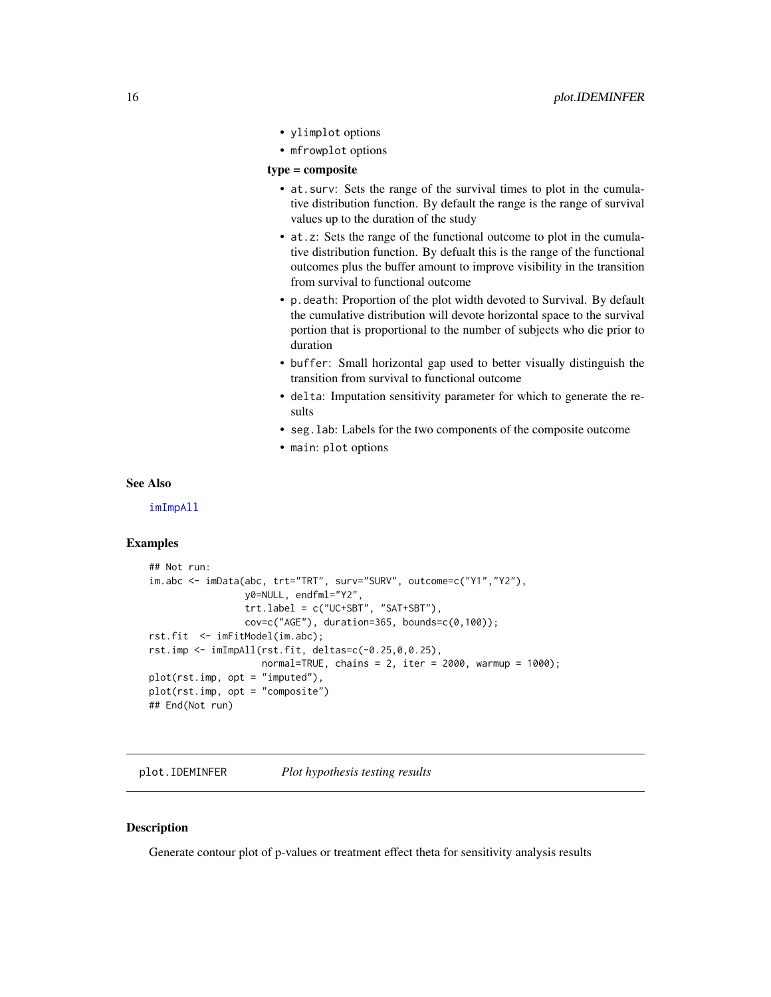- <span id="page-15-0"></span>• ylimplot options
- mfrowplot options

#### type = composite

- at.surv: Sets the range of the survival times to plot in the cumulative distribution function. By default the range is the range of survival values up to the duration of the study
- at.z: Sets the range of the functional outcome to plot in the cumulative distribution function. By defualt this is the range of the functional outcomes plus the buffer amount to improve visibility in the transition from survival to functional outcome
- p.death: Proportion of the plot width devoted to Survival. By default the cumulative distribution will devote horizontal space to the survival portion that is proportional to the number of subjects who die prior to duration
- buffer: Small horizontal gap used to better visually distinguish the transition from survival to functional outcome
- delta: Imputation sensitivity parameter for which to generate the results
- seg.lab: Labels for the two components of the composite outcome
- main: plot options

#### See Also

[imImpAll](#page-6-1)

#### Examples

```
## Not run:
im.abc <- imData(abc, trt="TRT", surv="SURV", outcome=c("Y1","Y2"),
                 y0=NULL, endfml="Y2",
                 trt.label = c("UC+SBT", "SAT+SBT"),
                 cov=c("AGE"), duration=365, bounds=c(\emptyset,100);
rst.fit <- imFitModel(im.abc);
rst.imp <- imImpAll(rst.fit, deltas=c(-0.25,0,0.25),
                    normal = TRUE, chains = 2, iter = 2000, warmup = 1000);
plot(rst.imp, opt = "imputed"),
plot(rst.imp, opt = "composite")
## End(Not run)
```
plot.IDEMINFER *Plot hypothesis testing results*

#### **Description**

Generate contour plot of p-values or treatment effect theta for sensitivity analysis results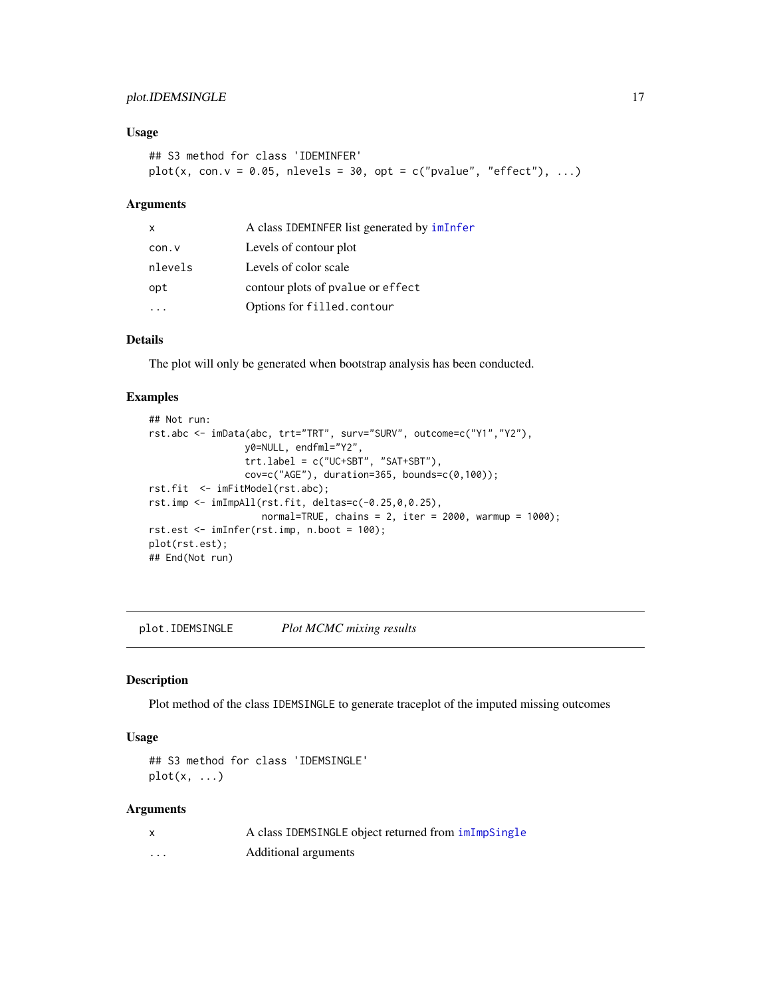# <span id="page-16-0"></span>plot.IDEMSINGLE 17

# Usage

```
## S3 method for class 'IDEMINFER'
plot(x, con.v = 0.05, nlevels = 30, opt = c("pvalue", "effect"), ...)
```
# Arguments

| $\mathsf{x}$ | A class IDEMINFER list generated by imInfer |
|--------------|---------------------------------------------|
| con.v        | Levels of contour plot                      |
| nlevels      | Levels of color scale                       |
| opt          | contour plots of pvalue or effect           |
|              | Options for filled.contour                  |

# Details

The plot will only be generated when bootstrap analysis has been conducted.

# Examples

```
## Not run:
rst.abc <- imData(abc, trt="TRT", surv="SURV", outcome=c("Y1","Y2"),
                 y0=NULL, endfml="Y2",
                 trt.label = c("UC+SBT", "SAT+SBT"),
                 cov=c("AGE"), duration=365, bounds=c(0,100));
rst.fit <- imFitModel(rst.abc);
rst.imp <- imImpAll(rst.fit, deltas=c(-0.25,0,0.25),
                    normal=TRUE, chains = 2, iter = 2000, warmup = 1000);
rst.est <- imInfer(rst.imp, n.boot = 100);
plot(rst.est);
## End(Not run)
```
plot.IDEMSINGLE *Plot MCMC mixing results*

#### Description

Plot method of the class IDEMSINGLE to generate traceplot of the imputed missing outcomes

#### Usage

```
## S3 method for class 'IDEMSINGLE'
plot(x, \ldots)
```

| x | A class IDEMSINGLE object returned from imImpSingle |
|---|-----------------------------------------------------|
| . | Additional arguments                                |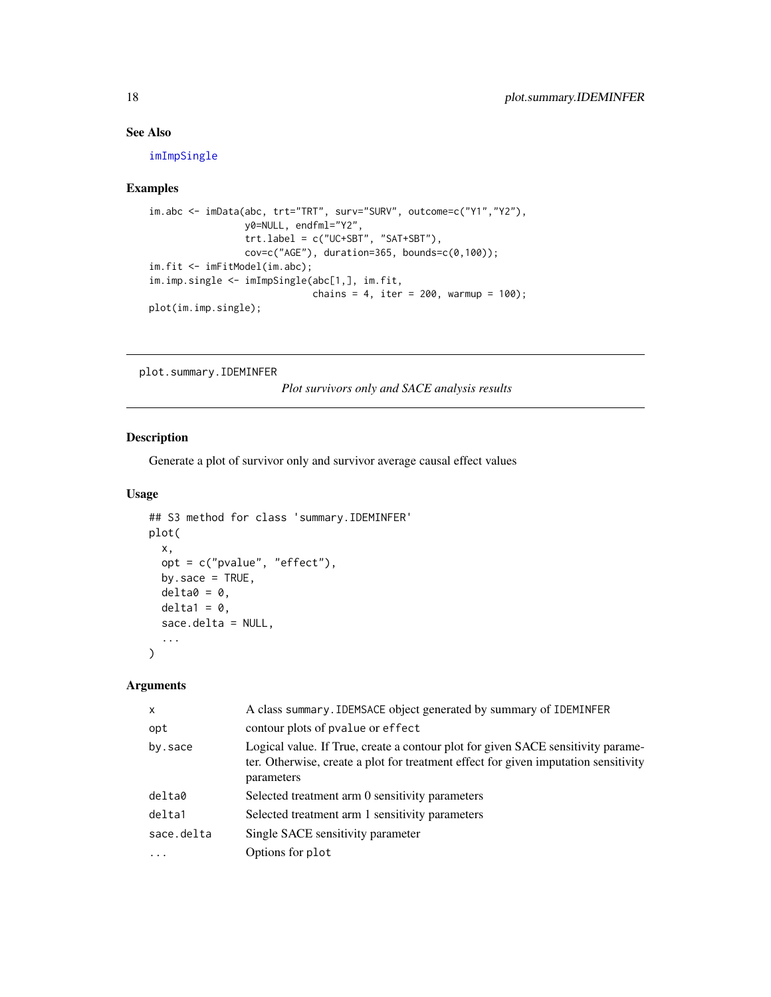# See Also

[imImpSingle](#page-9-1)

# Examples

```
im.abc <- imData(abc, trt="TRT", surv="SURV", outcome=c("Y1","Y2"),
                y0=NULL, endfml="Y2",
                 trt.label = c("UC+SBT", "SAT+SBT"),
                 cov=c("AGE"), duration=365, bounds=c(0,100));
im.fit <- imFitModel(im.abc);
im.imp.single <- imImpSingle(abc[1,], im.fit,
                             chains = 4, iter = 200, warmup = 100);
plot(im.imp.single);
```
plot.summary.IDEMINFER

*Plot survivors only and SACE analysis results*

# Description

Generate a plot of survivor only and survivor average causal effect values

#### Usage

```
## S3 method for class 'summary.IDEMINFER'
plot(
  x,
 opt = c("pvalue", "effect"),
 by.sace = TRUE,
 delta = 0,
 delta1 = 0,
  sace.delta = NULL,
  ...
\mathcal{L}
```

| $\mathsf{x}$ | A class summary. IDEMSACE object generated by summary of IDEMINFER                                                                                                                    |
|--------------|---------------------------------------------------------------------------------------------------------------------------------------------------------------------------------------|
| opt          | contour plots of pvalue or effect                                                                                                                                                     |
| by sace      | Logical value. If True, create a contour plot for given SACE sensitivity parame-<br>ter. Otherwise, create a plot for treatment effect for given imputation sensitivity<br>parameters |
| delta0       | Selected treatment arm 0 sensitivity parameters                                                                                                                                       |
| delta1       | Selected treatment arm 1 sensitivity parameters                                                                                                                                       |
| sace.delta   | Single SACE sensitivity parameter                                                                                                                                                     |
| .            | Options for plot                                                                                                                                                                      |

<span id="page-17-0"></span>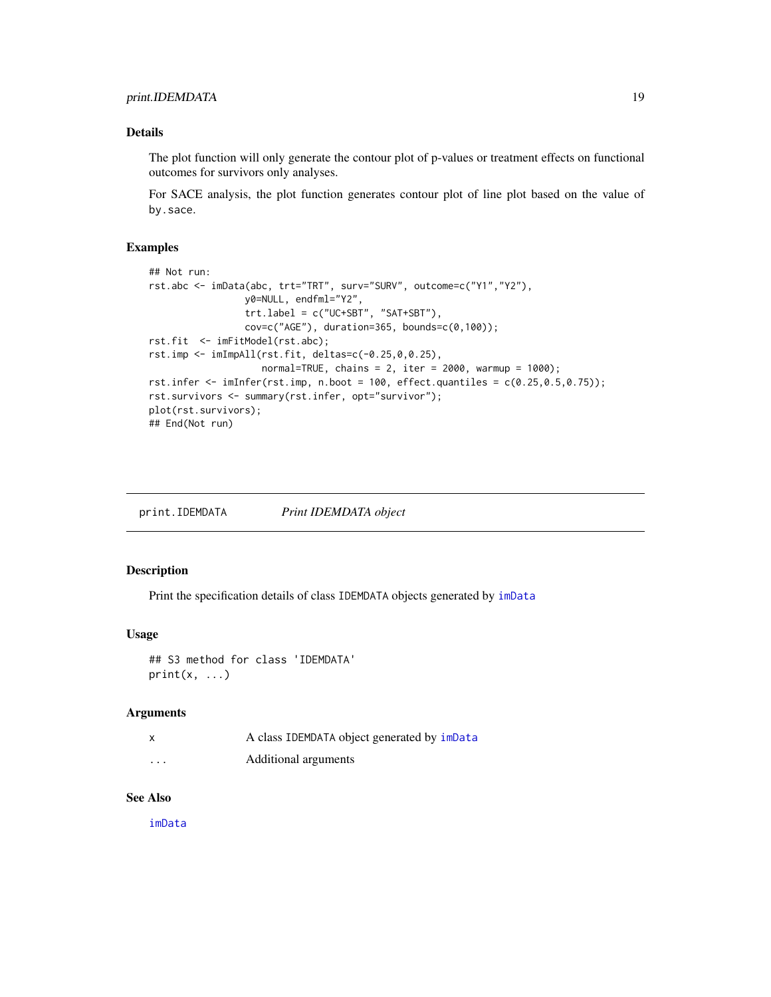# <span id="page-18-0"></span>print.IDEMDATA 19

#### Details

The plot function will only generate the contour plot of p-values or treatment effects on functional outcomes for survivors only analyses.

For SACE analysis, the plot function generates contour plot of line plot based on the value of by.sace.

#### Examples

```
## Not run:
rst.abc <- imData(abc, trt="TRT", surv="SURV", outcome=c("Y1","Y2"),
                 y0=NULL, endfml="Y2",
                 trt.label = c("UC+SBT", "SAT+SBT"),
                 cov=c("AGE"), duration=365, bounds=c(0,100));
rst.fit <- imFitModel(rst.abc);
rst.imp <- imImpAll(rst.fit, deltas=c(-0.25,0,0.25),
                    normal=TRUE, chains = 2, iter = 2000, warmup = 1000);
rst.infer \leq imInfer(rst.imp, n.boot = 100, effect.quantiles = c(0.25, 0.5, 0.75));
rst.survivors <- summary(rst.infer, opt="survivor");
plot(rst.survivors);
## End(Not run)
```
print.IDEMDATA *Print IDEMDATA object*

#### Description

Print the specification details of class IDEMDATA objects generated by [imData](#page-3-1)

#### Usage

```
## S3 method for class 'IDEMDATA'
print(x, \ldots)
```
#### Arguments

| $\times$ | A class IDEMDATA object generated by imData |
|----------|---------------------------------------------|
| $\cdots$ | Additional arguments                        |

#### See Also

[imData](#page-3-1)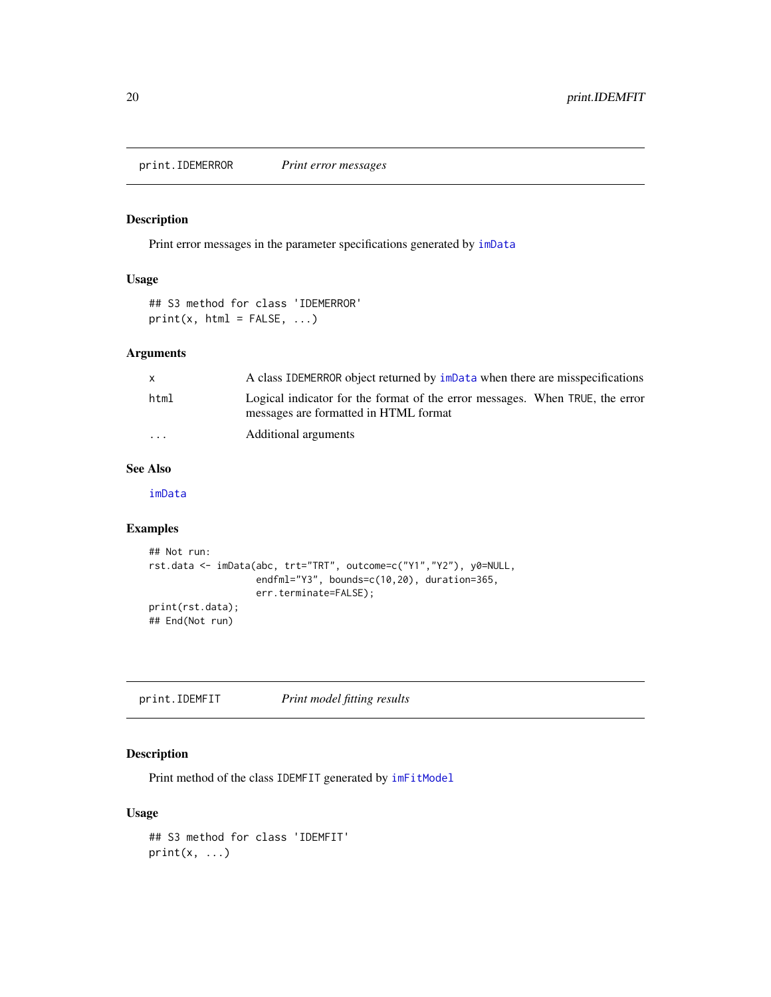<span id="page-19-0"></span>print.IDEMERROR *Print error messages*

# Description

Print error messages in the parameter specifications generated by [imData](#page-3-1)

#### Usage

```
## S3 method for class 'IDEMERROR'
print(x, html = FALSE, ...)
```
# Arguments

| X        | A class IDEMERROR object returned by impata when there are misspecifications                                          |
|----------|-----------------------------------------------------------------------------------------------------------------------|
| html     | Logical indicator for the format of the error messages. When TRUE, the error<br>messages are formatted in HTML format |
| $\cdots$ | Additional arguments                                                                                                  |

#### See Also

[imData](#page-3-1)

# Examples

```
## Not run:
rst.data <- imData(abc, trt="TRT", outcome=c("Y1","Y2"), y0=NULL,
                  endfml="Y3", bounds=c(10,20), duration=365,
                   err.terminate=FALSE);
print(rst.data);
## End(Not run)
```
print.IDEMFIT *Print model fitting results*

# Description

Print method of the class IDEMFIT generated by  $imFitModel$ 

#### Usage

```
## S3 method for class 'IDEMFIT'
print(x, \ldots)
```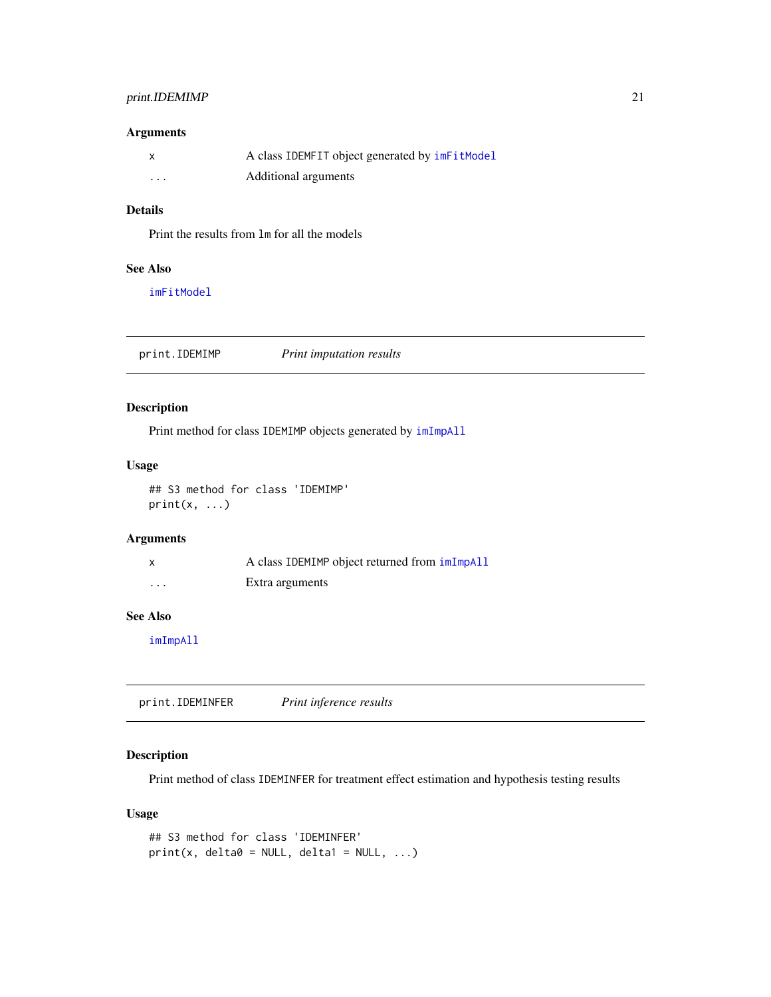# <span id="page-20-0"></span>print.IDEMIMP 21

#### Arguments

| x | A class IDEMFIT object generated by imFitModel |
|---|------------------------------------------------|
| . | Additional arguments                           |

#### Details

Print the results from lm for all the models

#### See Also

[imFitModel](#page-5-1)

print.IDEMIMP *Print imputation results*

# Description

Print method for class IDEMIMP objects generated by [imImpAll](#page-6-1)

# Usage

## S3 method for class 'IDEMIMP'  $print(x, \ldots)$ 

# Arguments

|         | A class IDEMIMP object returned from imImpAll |
|---------|-----------------------------------------------|
| $\cdot$ | Extra arguments                               |

# See Also

[imImpAll](#page-6-1)

print.IDEMINFER *Print inference results*

# Description

Print method of class IDEMINFER for treatment effect estimation and hypothesis testing results

#### Usage

```
## S3 method for class 'IDEMINFER'
print(x, delta0 = NULL, delta1 = NULL, ...)
```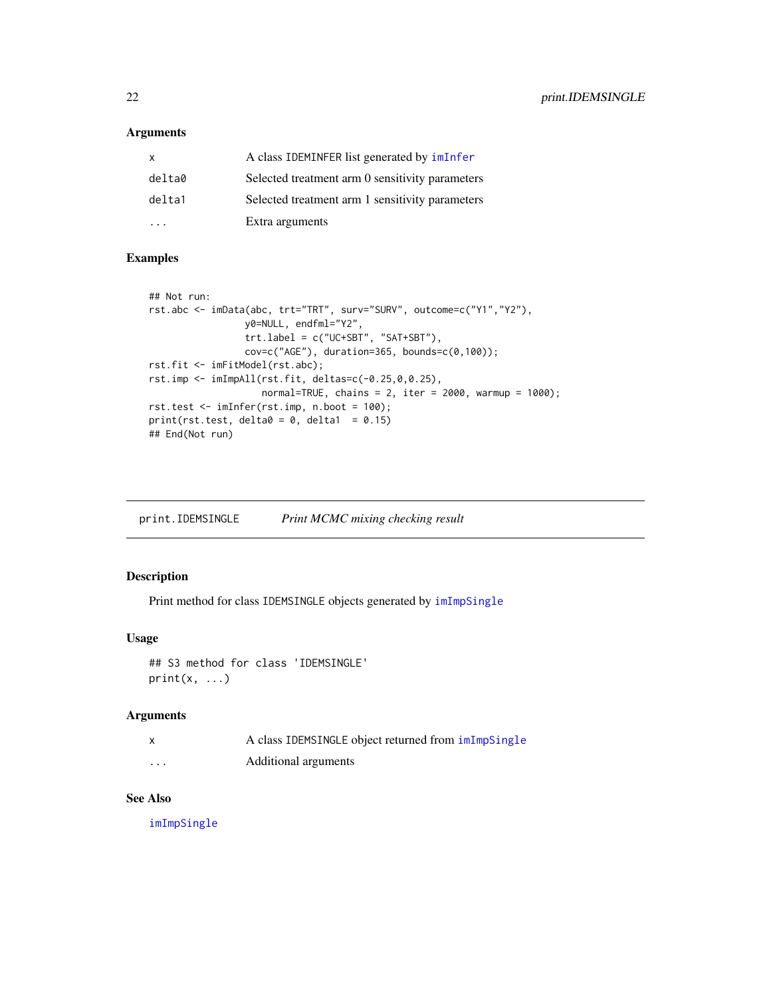# <span id="page-21-0"></span>Arguments

| x      | A class IDEMINFER list generated by imInfer     |
|--------|-------------------------------------------------|
| delta0 | Selected treatment arm 0 sensitivity parameters |
| delta1 | Selected treatment arm 1 sensitivity parameters |
|        | Extra arguments                                 |

#### Examples

```
## Not run:
rst.abc <- imData(abc, trt="TRT", surv="SURV", outcome=c("Y1","Y2"),
                 y0=NULL, endfml="Y2",
                 trt.label = c("UC+SBT", "SAT+SBT"),
                 cov=c("AGE"), duration=365, bounds=c(0,100);
rst.fit <- imFitModel(rst.abc);
rst.imp <- imImpAll(rst.fit, deltas=c(-0.25,0,0.25),
                    normal=TRUE, chains = 2, iter = 2000, warmup = 1000);
rst.test <- imInfer(rst.imp, n.boot = 100);
print(rst.test, delta0 = 0, delta1 = 0.15)
## End(Not run)
```
print.IDEMSINGLE *Print MCMC mixing checking result*

#### Description

Print method for class IDEMSINGLE objects generated by [imImpSingle](#page-9-1)

#### Usage

```
## S3 method for class 'IDEMSINGLE'
print(x, \ldots)
```
#### Arguments

| $\boldsymbol{\mathsf{x}}$ | A class IDEMSINGLE object returned from $imImpSingle$ |
|---------------------------|-------------------------------------------------------|
| $\cdots$                  | Additional arguments                                  |

# See Also

[imImpSingle](#page-9-1)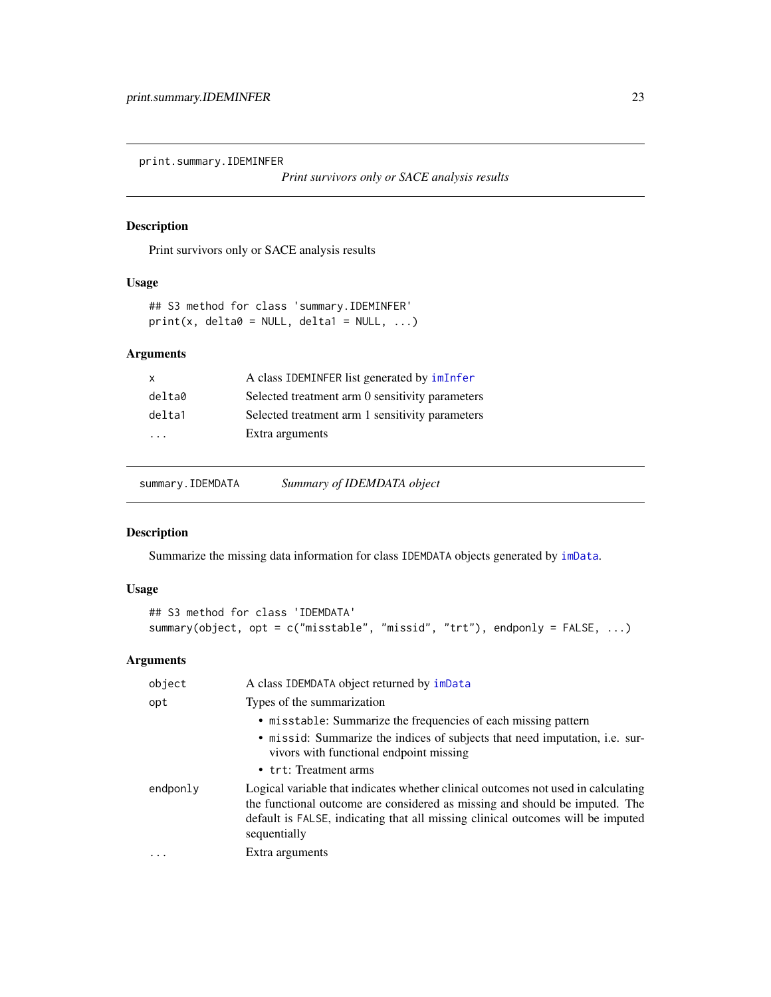<span id="page-22-0"></span>print.summary.IDEMINFER

*Print survivors only or SACE analysis results*

# Description

Print survivors only or SACE analysis results

# Usage

```
## S3 method for class 'summary.IDEMINFER'
print(x, delta0 = NULL, delta1 = NULL, ...)
```
# Arguments

| $\mathsf{x}$ | A class IDEMINFER list generated by imInfer     |
|--------------|-------------------------------------------------|
| delta0       | Selected treatment arm 0 sensitivity parameters |
| delta1       | Selected treatment arm 1 sensitivity parameters |
| .            | Extra arguments                                 |
|              |                                                 |

summary.IDEMDATA *Summary of IDEMDATA object*

# Description

Summarize the missing data information for class IDEMDATA objects generated by [imData](#page-3-1).

# Usage

```
## S3 method for class 'IDEMDATA'
summary(object, opt = c("misstable", "missid", "trt"), endponly = FALSE, ...)
```

| object   | A class IDEMDATA object returned by imData                                                                                                                                                                                                                          |
|----------|---------------------------------------------------------------------------------------------------------------------------------------------------------------------------------------------------------------------------------------------------------------------|
| opt      | Types of the summarization                                                                                                                                                                                                                                          |
|          | • misstable: Summarize the frequencies of each missing pattern                                                                                                                                                                                                      |
|          | • missid: Summarize the indices of subjects that need imputation, <i>i.e.</i> sur-<br>vivors with functional endpoint missing<br>• trt: Treatment arms                                                                                                              |
| endponly | Logical variable that indicates whether clinical outcomes not used in calculating<br>the functional outcome are considered as missing and should be imputed. The<br>default is FALSE, indicating that all missing clinical outcomes will be imputed<br>sequentially |
|          | Extra arguments                                                                                                                                                                                                                                                     |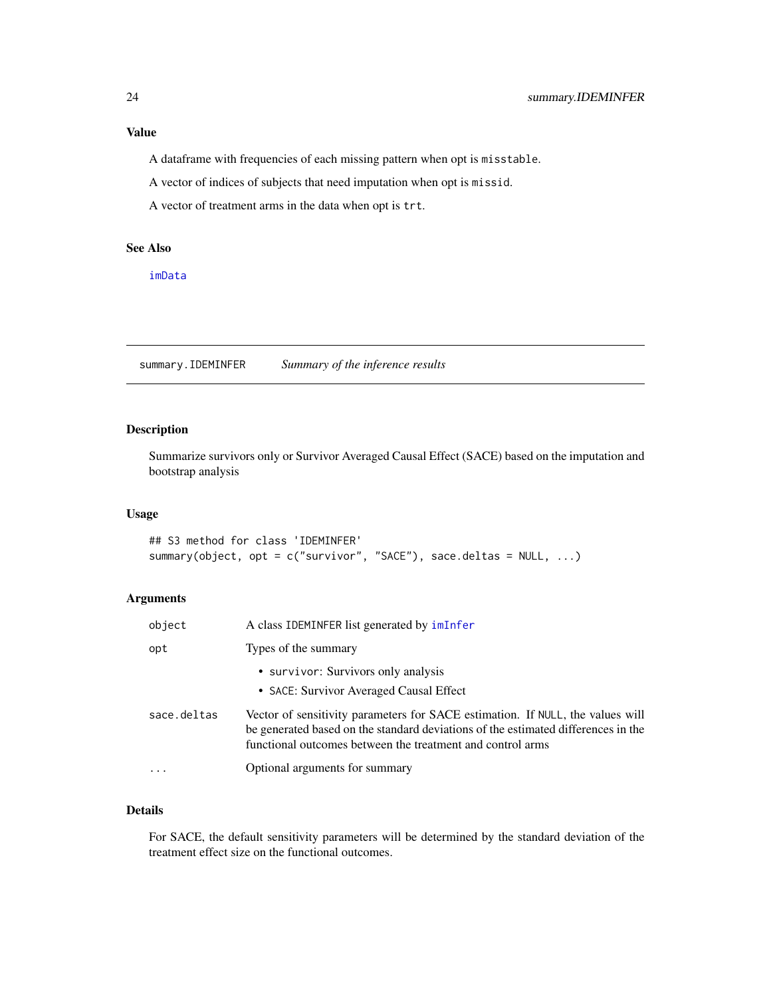# <span id="page-23-0"></span>Value

A dataframe with frequencies of each missing pattern when opt is misstable.

A vector of indices of subjects that need imputation when opt is missid.

A vector of treatment arms in the data when opt is trt.

# See Also

[imData](#page-3-1)

summary.IDEMINFER *Summary of the inference results*

# Description

Summarize survivors only or Survivor Averaged Causal Effect (SACE) based on the imputation and bootstrap analysis

# Usage

```
## S3 method for class 'IDEMINFER'
summary(object, opt = c("survivor", "SACE"), sace.deltas = NULL, ...)
```
# Arguments

| object      | A class IDEMINFER list generated by imInfer                                                                                                                                                                                       |
|-------------|-----------------------------------------------------------------------------------------------------------------------------------------------------------------------------------------------------------------------------------|
| opt         | Types of the summary                                                                                                                                                                                                              |
|             | • survivor: Survivors only analysis<br>• SACE: Survivor Averaged Causal Effect                                                                                                                                                    |
| sace.deltas | Vector of sensitivity parameters for SACE estimation. If NULL, the values will<br>be generated based on the standard deviations of the estimated differences in the<br>functional outcomes between the treatment and control arms |
|             | Optional arguments for summary                                                                                                                                                                                                    |

# Details

For SACE, the default sensitivity parameters will be determined by the standard deviation of the treatment effect size on the functional outcomes.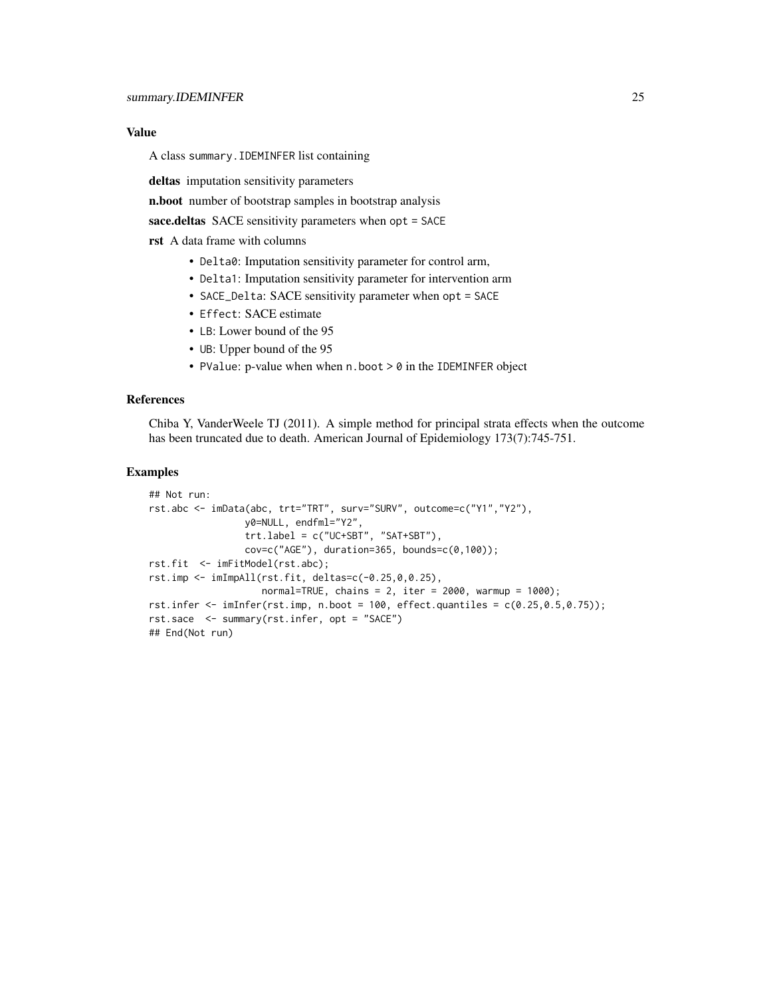#### Value

A class summary.IDEMINFER list containing

deltas imputation sensitivity parameters

n.boot number of bootstrap samples in bootstrap analysis

sace.deltas SACE sensitivity parameters when opt = SACE

rst A data frame with columns

- Delta0: Imputation sensitivity parameter for control arm,
- Delta1: Imputation sensitivity parameter for intervention arm
- SACE\_Delta: SACE sensitivity parameter when opt = SACE
- Effect: SACE estimate
- LB: Lower bound of the 95
- UB: Upper bound of the 95
- PValue: p-value when when n.boot > 0 in the IDEMINFER object

#### References

Chiba Y, VanderWeele TJ (2011). A simple method for principal strata effects when the outcome has been truncated due to death. American Journal of Epidemiology 173(7):745-751.

#### Examples

```
## Not run:
rst.abc <- imData(abc, trt="TRT", surv="SURV", outcome=c("Y1","Y2"),
                 y0=NULL, endfml="Y2",
                 trt.label = c("UC+SBT", "SAT+SBT"),
                 cov=c("AGE"), duration=365, bounds=c(\emptyset,100);
rst.fit <- imFitModel(rst.abc);
rst.imp <- imImpAll(rst.fit, deltas=c(-0.25,0,0.25),
                    normal = TRUE, chains = 2, iter = 2000, warmup = 1000);
rst.infer \leq imInfer(rst.imp, n.boot = 100, effect.quantiles = c(0.25, 0.5, 0.75));
rst.sace <- summary(rst.infer, opt = "SACE")
## End(Not run)
```